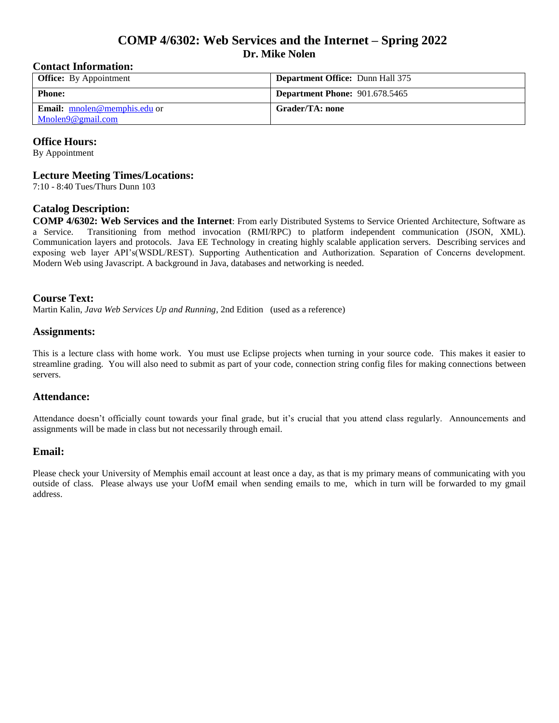# **COMP 4/6302: Web Services and the Internet – Spring 2022 Dr. Mike Nolen**

# **Contact Information:**

| <b>Office:</b> By Appointment       | <b>Department Office: Dunn Hall 375</b> |
|-------------------------------------|-----------------------------------------|
| <b>Phone:</b>                       | <b>Department Phone: 901.678.5465</b>   |
| <b>Email:</b> mnolen@memphis.edu or | Grader/TA: none                         |
| Mnolen9@gmail.com                   |                                         |

# **Office Hours:**

By Appointment

#### **Lecture Meeting Times/Locations:**

7:10 - 8:40 Tues/Thurs Dunn 103

# **Catalog Description:**

**COMP 4/6302: Web Services and the Internet**: From early Distributed Systems to Service Oriented Architecture, Software as a Service. Transitioning from method invocation (RMI/RPC) to platform independent communication (JSON, XML). Communication layers and protocols. Java EE Technology in creating highly scalable application servers. Describing services and exposing web layer API's(WSDL/REST). Supporting Authentication and Authorization. Separation of Concerns development. Modern Web using Javascript. A background in Java, databases and networking is needed.

# **Course Text:**

Martin Kalin, *Java Web Services Up and Running*, 2nd Edition (used as a reference)

#### **Assignments:**

This is a lecture class with home work. You must use Eclipse projects when turning in your source code. This makes it easier to streamline grading. You will also need to submit as part of your code, connection string config files for making connections between servers.

#### **Attendance:**

Attendance doesn't officially count towards your final grade, but it's crucial that you attend class regularly. Announcements and assignments will be made in class but not necessarily through email.

### **Email:**

Please check your University of Memphis email account at least once a day, as that is my primary means of communicating with you outside of class. Please always use your UofM email when sending emails to me, which in turn will be forwarded to my gmail address.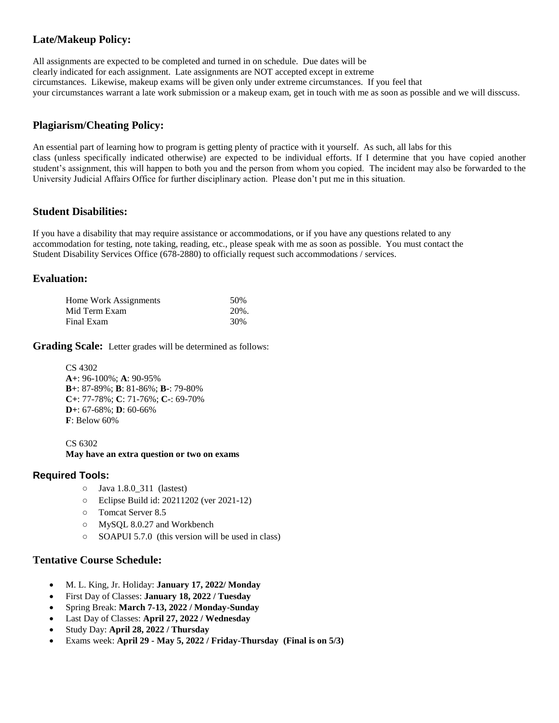# **Late/Makeup Policy:**

All assignments are expected to be completed and turned in on schedule. Due dates will be clearly indicated for each assignment. Late assignments are NOT accepted except in extreme circumstances. Likewise, makeup exams will be given only under extreme circumstances. If you feel that your circumstances warrant a late work submission or a makeup exam, get in touch with me as soon as possible and we will disscuss.

# **Plagiarism/Cheating Policy:**

An essential part of learning how to program is getting plenty of practice with it yourself. As such, all labs for this class (unless specifically indicated otherwise) are expected to be individual efforts. If I determine that you have copied another student's assignment, this will happen to both you and the person from whom you copied. The incident may also be forwarded to the University Judicial Affairs Office for further disciplinary action. Please don't put me in this situation.

# **Student Disabilities:**

If you have a disability that may require assistance or accommodations, or if you have any questions related to any accommodation for testing, note taking, reading, etc., please speak with me as soon as possible. You must contact the Student Disability Services Office (678-2880) to officially request such accommodations / services.

# **Evaluation:**

| Home Work Assignments | 50%  |
|-----------------------|------|
| Mid Term Exam         | 20%. |
| Final Exam            | 30%  |

**Grading Scale:** Letter grades will be determined as follows:

CS 4302 **A+**: 96-100%; **A**: 90-95% **B+**: 87-89%; **B**: 81-86%; **B-**: 79-80% **C+**: 77-78%; **C**: 71-76%; **C-**: 69-70% **D+**: 67-68%; **D**: 60-66% **F**: Below 60%

CS 6302 **May have an extra question or two on exams**

#### **Required Tools:**

- Java 1.8.0\_311 (lastest)
- Eclipse Build id: 20211202 (ver 2021-12)
- Tomcat Server 8.5
- MySQL 8.0.27 and Workbench
- SOAPUI 5.7.0 (this version will be used in class)

#### **Tentative Course Schedule:**

- M. L. King, Jr. Holiday: **January 17, 2022/ Monday**
- First Day of Classes: **January 18, 2022 / Tuesday**
- Spring Break: **March 7-13, 2022 / Monday-Sunday**
- Last Day of Classes: **April 27, 2022 / Wednesday**
- Study Day: **April 28, 2022 / Thursday**
- Exams week: **April 29 - May 5, 2022 / Friday-Thursday (Final is on 5/3)**